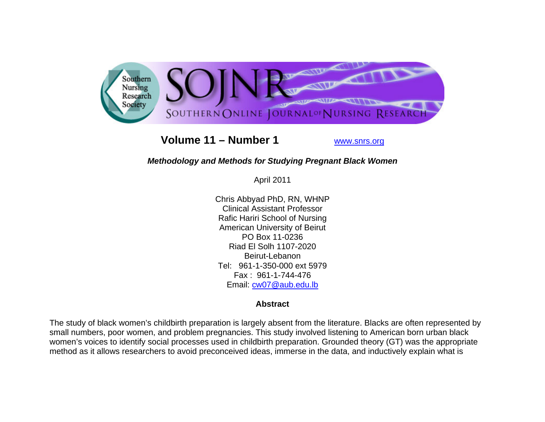

# **Volume 11 – Number 1**

www.snrs.org

# *Methodology and Methods for Studying Pregnant Black Women*

April 2011

Chris Abbyad PhD, RN, WHNP Clinical Assistant Professor Rafic Hariri School of Nursing American University of Beirut PO Box 11-0236 Riad El Solh 1107-2020 Beirut-Lebanon Tel: 961-1-350-000 ext 5979 Fax : 961-1-744-476 Email: <u>cw07@aub.edu.lb</u>

## **Abstract**

The study of black women's childbirth preparation is largely absent from the literature. Blacks are often represented by small numbers, poor women, and problem pregnancies. This study involved listening to American born urban black women's voices to identify social processes used in childbirth preparation. Grounded theory (GT) was the appropriate method as it allows researchers to avoid preconceived ideas, immerse in the data, and inductively explain what is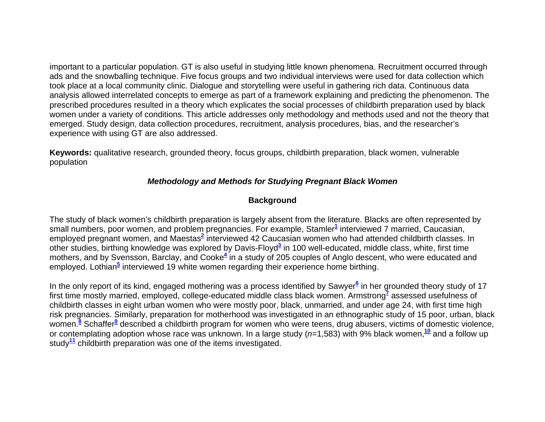important to a particular population. GT is also useful in studying little known phenomena. Recruitment occurred through ads and the snowballing technique. Five focus groups and two individual interviews were used for data collection which took place at a local community clinic. Dialogue and storytelling were useful in gathering rich data. Continuous data analysis allowed interrelated concepts to emerge as part of a framework explaining and predicting the phenomenon. The prescribed procedures resulted in a theory which explicates the social processes of childbirth preparation used by black women under a variety of conditions. This article addresses only methodology and methods used and not the theory that emerged. Study design, data collection procedures, recruitment, analysis procedures, bias, and the researcher's experience with using GT are also addressed.

**Keywords:** qualitative research, grounded theory, focus groups, childbirth preparation, black women, vulnerable population

# *Methodology and Methods for Studying Pregnant Black Women*

# **Background**

The study of black women's childbirth preparation is largely absent from the literature. Blacks are often represented by small numbers, poor women, and problem pregnancies. For example, Stamler<sup>1</sup> interviewed 7 married, Caucasian, employed pregnant women, and Maestas**<sup>2</sup>** interviewed 42 Caucasian women who had attended childbirth classes. In other studies, birthing knowledge was explored by Davis-Floyd**<sup>3</sup>** in 100 well-educated, middle class, white, first time mothers, and by Svensson, Barclay, and Cooke**<sup>4</sup>** in a study of 205 couples of Anglo descent, who were educated and employed. Lothian**<sup>5</sup>** interviewed 19 white women regarding their experience home birthing.

In the only report of its kind, engaged mothering was a process identified by Sawyer<sup>6</sup> in her grounded theory study of 17 first time mostly married, employed, college-educated middle class black women. Armstrong**<sup>7</sup>** assessed usefulness of childbirth classes in eight urban women who were mostly poor, black, unmarried, and under age 24, with first time high risk pregnancies. Similarly, preparation for motherhood was investigated in an ethnographic study of 15 poor, urban, black women.**<sup>8</sup>** Schaffer**<sup>9</sup>** described a childbirth program for women who were teens, drug abusers, victims of domestic violence, or contemplating adoption whose race was unknown. In a large study (*n*=1,583) with 9% black women,**<sup>10</sup>** and a follow up study**<sup>11</sup>** childbirth preparation was one of the items investigated.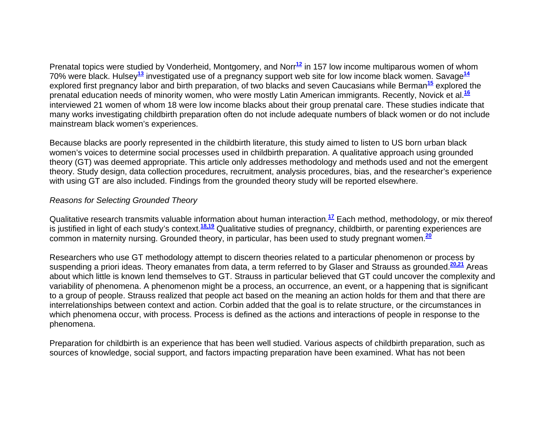Prenatal topics were studied by Vonderheid, Montgomery, and Norr<sup>12</sup> in 157 low income multiparous women of whom 70% were black. Hulsey**<sup>13</sup>** investigated use of a pregnancy support web site for low income black women. Savage**<sup>14</sup>** explored first pregnancy labor and birth preparation, of two blacks and seven Caucasians while Berman**<sup>15</sup>** explored the prenatal education needs of minority women, who were mostly Latin American immigrants. Recently, Novick et al.**<sup>16</sup>** interviewed 21 women of whom 18 were low income blacks about their group prenatal care. These studies indicate that many works investigating childbirth preparation often do not include adequate numbers of black women or do not include mainstream black women's experiences.

Because blacks are poorly represented in the childbirth literature, this study aimed to listen to US born urban black women's voices to determine social processes used in childbirth preparation. A qualitative approach using grounded theory (GT) was deemed appropriate. This article only addresses methodology and methods used and not the emergent theory. Study design, data collection procedures, recruitment, analysis procedures, bias, and the researcher's experience with using GT are also included. Findings from the grounded theory study will be reported elsewhere.

## *Reasons for Selecting Grounded Theory*

Qualitative research transmits valuable information about human interaction.**<sup>17</sup>** Each method, methodology, or mix thereof is justified in light of each study's context.**18,19** Qualitative studies of pregnancy, childbirth, or parenting experiences are common in maternity nursing. Grounded theory, in particular, has been used to study pregnant women.**<sup>20</sup>**

Researchers who use GT methodology attempt to discern theories related to a particular phenomenon or process by suspending a priori ideas. Theory emanates from data, a term referred to by Glaser and Strauss as grounded.**20,21** Areas about which little is known lend themselves to GT. Strauss in particular believed that GT could uncover the complexity and variability of phenomena. A phenomenon might be a process, an occurrence, an event, or a happening that is significant to a group of people. Strauss realized that people act based on the meaning an action holds for them and that there are interrelationships between context and action. Corbin added that the goal is to relate structure, or the circumstances in which phenomena occur, with process. Process is defined as the actions and interactions of people in response to the phenomena.

Preparation for childbirth is an experience that has been well studied. Various aspects of childbirth preparation, such as sources of knowledge, social support, and factors impacting preparation have been examined. What has not been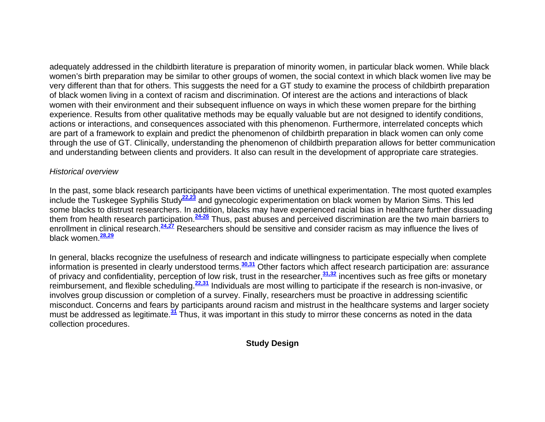adequately addressed in the childbirth literature is preparation of minority women, in particular black women. While black women's birth preparation may be similar to other groups of women, the social context in which black women live may be very different than that for others. This suggests the need for a GT study to examine the process of childbirth preparation of black women living in a context of racism and discrimination. Of interest are the actions and interactions of black women with their environment and their subsequent influence on ways in which these women prepare for the birthing experience. Results from other qualitative methods may be equally valuable but are not designed to identify conditions, actions or interactions, and consequences associated with this phenomenon. Furthermore, interrelated concepts which are part of a framework to explain and predict the phenomenon of childbirth preparation in black women can only come through the use of GT. Clinically, understanding the phenomenon of childbirth preparation allows for better communication and understanding between clients and providers. It also can result in the development of appropriate care strategies.

### *Historical overview*

In the past, some black research participants have been victims of unethical experimentation. The most quoted examples include the Tuskegee Syphilis Study**22,23** and gynecologic experimentation on black women by Marion Sims. This led some blacks to distrust researchers. In addition, blacks may have experienced racial bias in healthcare further dissuading them from health research participation.**24-26** Thus, past abuses and perceived discrimination are the two main barriers to enrollment in clinical research.**24,27** Researchers should be sensitive and consider racism as may influence the lives of black women.**28,29**

In general, blacks recognize the usefulness of research and indicate willingness to participate especially when complete information is presented in clearly understood terms.**30,31** Other factors which affect research participation are: assurance of privacy and confidentiality, perception of low risk, trust in the researcher,**31,32** incentives such as free gifts or monetary reimbursement, and flexible scheduling.**22,31** Individuals are most willing to participate if the research is non-invasive, or involves group discussion or completion of a survey. Finally, researchers must be proactive in addressing scientific misconduct. Concerns and fears by participants around racism and mistrust in the healthcare systems and larger society must be addressed as legitimate.**<sup>31</sup>** Thus, it was important in this study to mirror these concerns as noted in the data collection procedures.

# **Study Design**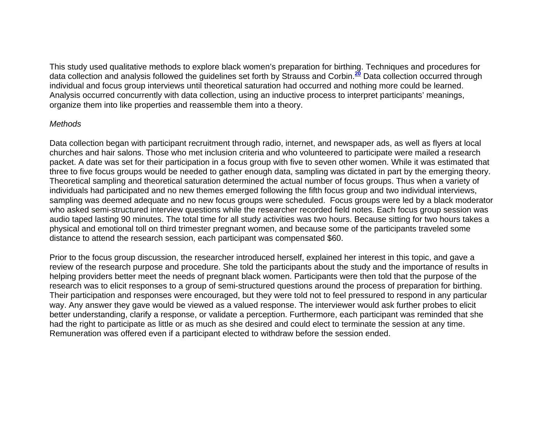This study used qualitative methods to explore black women's preparation for birthing. Techniques and procedures for data collection and analysis followed the guidelines set forth by Strauss and Corbin.**<sup>20</sup>** Data collection occurred through individual and focus group interviews until theoretical saturation had occurred and nothing more could be learned. Analysis occurred concurrently with data collection, using an inductive process to interpret participants' meanings, organize them into like properties and reassemble them into a theory.

#### *Methods*

Data collection began with participant recruitment through radio, internet, and newspaper ads, as well as flyers at local churches and hair salons. Those who met inclusion criteria and who volunteered to participate were mailed a research packet. A date was set for their participation in a focus group with five to seven other women. While it was estimated that three to five focus groups would be needed to gather enough data, sampling was dictated in part by the emerging theory. Theoretical sampling and theoretical saturation determined the actual number of focus groups. Thus when a variety of individuals had participated and no new themes emerged following the fifth focus group and two individual interviews, sampling was deemed adequate and no new focus groups were scheduled. Focus groups were led by a black moderator who asked semi-structured interview questions while the researcher recorded field notes. Each focus group session was audio taped lasting 90 minutes. The total time for all study activities was two hours. Because sitting for two hours takes a physical and emotional toll on third trimester pregnant women, and because some of the participants traveled some distance to attend the research session, each participant was compensated \$60.

Prior to the focus group discussion, the researcher introduced herself, explained her interest in this topic, and gave a review of the research purpose and procedure. She told the participants about the study and the importance of results in helping providers better meet the needs of pregnant black women. Participants were then told that the purpose of the research was to elicit responses to a group of semi-structured questions around the process of preparation for birthing. Their participation and responses were encouraged, but they were told not to feel pressured to respond in any particular way. Any answer they gave would be viewed as a valued response. The interviewer would ask further probes to elicit better understanding, clarify a response, or validate a perception. Furthermore, each participant was reminded that she had the right to participate as little or as much as she desired and could elect to terminate the session at any time. Remuneration was offered even if a participant elected to withdraw before the session ended.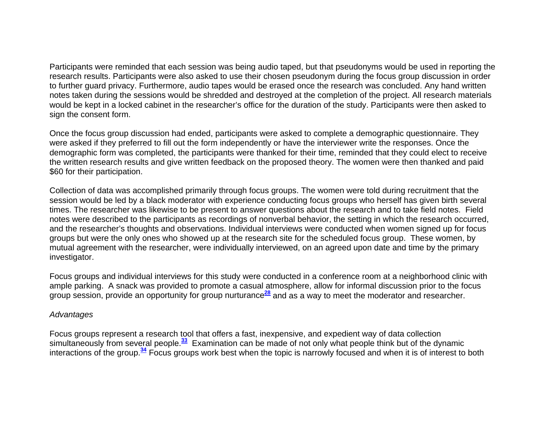Participants were reminded that each session was being audio taped, but that pseudonyms would be used in reporting the research results. Participants were also asked to use their chosen pseudonym during the focus group discussion in order to further guard privacy. Furthermore, audio tapes would be erased once the research was concluded. Any hand written notes taken during the sessions would be shredded and destroyed at the completion of the project. All research materials would be kept in a locked cabinet in the researcher's office for the duration of the study. Participants were then asked to sign the consent form.

Once the focus group discussion had ended, participants were asked to complete a demographic questionnaire. They were asked if they preferred to fill out the form independently or have the interviewer write the responses. Once the demographic form was completed, the participants were thanked for their time, reminded that they could elect to receive the written research results and give written feedback on the proposed theory. The women were then thanked and paid \$60 for their participation.

Collection of data was accomplished primarily through focus groups. The women were told during recruitment that the session would be led by a black moderator with experience conducting focus groups who herself has given birth several times. The researcher was likewise to be present to answer questions about the research and to take field notes. Field notes were described to the participants as recordings of nonverbal behavior, the setting in which the research occurred, and the researcher's thoughts and observations. Individual interviews were conducted when women signed up for focus groups but were the only ones who showed up at the research site for the scheduled focus group. These women, by mutual agreement with the researcher, were individually interviewed, on an agreed upon date and time by the primary investigator.

Focus groups and individual interviews for this study were conducted in a conference room at a neighborhood clinic with ample parking. A snack was provided to promote a casual atmosphere, allow for informal discussion prior to the focus group session, provide an opportunity for group nurturance**<sup>28</sup>** and as a way to meet the moderator and researcher.

#### *Advantages*

Focus groups represent a research tool that offers a fast, inexpensive, and expedient way of data collection simultaneously from several people.**<sup>33</sup>** Examination can be made of not only what people think but of the dynamic interactions of the group.**<sup>34</sup>** Focus groups work best when the topic is narrowly focused and when it is of interest to both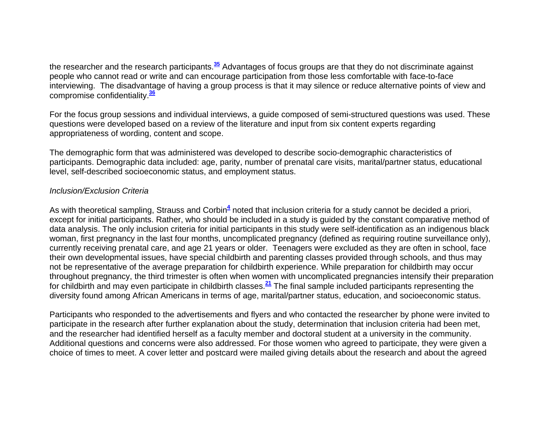the researcher and the research participants.**<sup>35</sup>** Advantages of focus groups are that they do not discriminate against people who cannot read or write and can encourage participation from those less comfortable with face-to-face interviewing. The disadvantage of having a group process is that it may silence or reduce alternative points of view and compromise confidentiality.**<sup>36</sup>**

For the focus group sessions and individual interviews, a guide composed of semi-structured questions was used. These questions were developed based on a review of the literature and input from six content experts regarding appropriateness of wording, content and scope.

The demographic form that was administered was developed to describe socio-demographic characteristics of participants. Demographic data included: age, parity, number of prenatal care visits, marital/partner status, educational level, self-described socioeconomic status, and employment status.

### *Inclusion/Exclusion Criteria*

As with theoretical sampling, Strauss and Corbin<sup>4</sup> noted that inclusion criteria for a study cannot be decided a priori, except for initial participants. Rather, who should be included in a study is guided by the constant comparative method of data analysis. The only inclusion criteria for initial participants in this study were self-identification as an indigenous black woman, first pregnancy in the last four months, uncomplicated pregnancy (defined as requiring routine surveillance only), currently receiving prenatal care, and age 21 years or older. Teenagers were excluded as they are often in school, face their own developmental issues, have special childbirth and parenting classes provided through schools, and thus may not be representative of the average preparation for childbirth experience. While preparation for childbirth may occur throughout pregnancy, the third trimester is often when women with uncomplicated pregnancies intensify their preparation for childbirth and may even participate in childbirth classes.**<sup>21</sup>** The final sample included participants representing the diversity found among African Americans in terms of age, marital/partner status, education, and socioeconomic status.

Participants who responded to the advertisements and flyers and who contacted the researcher by phone were invited to participate in the research after further explanation about the study, determination that inclusion criteria had been met, and the researcher had identified herself as a faculty member and doctoral student at a university in the community. Additional questions and concerns were also addressed. For those women who agreed to participate, they were given a choice of times to meet. A cover letter and postcard were mailed giving details about the research and about the agreed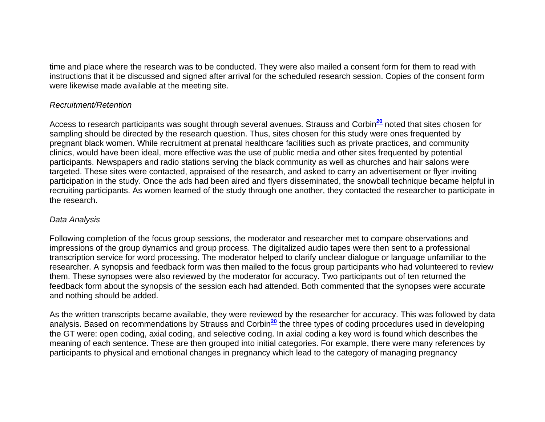time and place where the research was to be conducted. They were also mailed a consent form for them to read with instructions that it be discussed and signed after arrival for the scheduled research session. Copies of the consent form were likewise made available at the meeting site.

## *Recruitment/Retention*

Access to research participants was sought through several avenues. Strauss and Corbin**<sup>20</sup>** noted that sites chosen for sampling should be directed by the research question. Thus, sites chosen for this study were ones frequented by pregnant black women. While recruitment at prenatal healthcare facilities such as private practices, and community clinics, would have been ideal, more effective was the use of public media and other sites frequented by potential participants. Newspapers and radio stations serving the black community as well as churches and hair salons were targeted. These sites were contacted, appraised of the research, and asked to carry an advertisement or flyer inviting participation in the study. Once the ads had been aired and flyers disseminated, the snowball technique became helpful in recruiting participants. As women learned of the study through one another, they contacted the researcher to participate in the research.

### *Data Analysis*

Following completion of the focus group sessions, the moderator and researcher met to compare observations and impressions of the group dynamics and group process. The digitalized audio tapes were then sent to a professional transcription service for word processing. The moderator helped to clarify unclear dialogue or language unfamiliar to the researcher. A synopsis and feedback form was then mailed to the focus group participants who had volunteered to review them. These synopses were also reviewed by the moderator for accuracy. Two participants out of ten returned the feedback form about the synopsis of the session each had attended. Both commented that the synopses were accurate and nothing should be added.

As the written transcripts became available, they were reviewed by the researcher for accuracy. This was followed by data analysis. Based on recommendations by Strauss and Corbin**<sup>20</sup>** the three types of coding procedures used in developing the GT were: open coding, axial coding, and selective coding. In axial coding a key word is found which describes the meaning of each sentence. These are then grouped into initial categories. For example, there were many references by participants to physical and emotional changes in pregnancy which lead to the category of managing pregnancy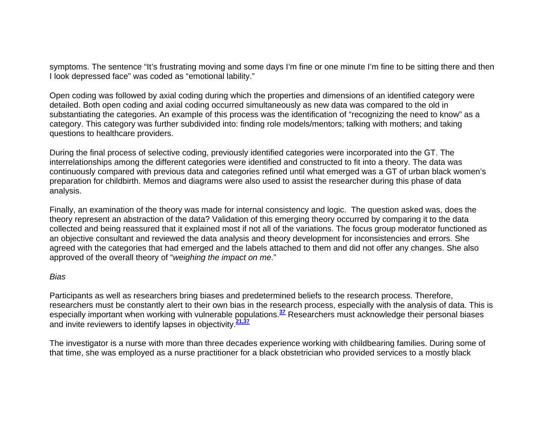symptoms. The sentence "It's frustrating moving and some days I'm fine or one minute I'm fine to be sitting there and then I look depressed face" was coded as "emotional lability."

Open coding was followed by axial coding during which the properties and dimensions of an identified category were detailed. Both open coding and axial coding occurred simultaneously as new data was compared to the old in substantiating the categories. An example of this process was the identification of "recognizing the need to know" as a category. This category was further subdivided into: finding role models/mentors; talking with mothers; and taking questions to healthcare providers.

During the final process of selective coding, previously identified categories were incorporated into the GT. The interrelationships among the different categories were identified and constructed to fit into a theory. The data was continuously compared with previous data and categories refined until what emerged was a GT of urban black women's preparation for childbirth. Memos and diagrams were also used to assist the researcher during this phase of data analysis.

Finally, an examination of the theory was made for internal consistency and logic. The question asked was, does the theory represent an abstraction of the data? Validation of this emerging theory occurred by comparing it to the data collected and being reassured that it explained most if not all of the variations. The focus group moderator functioned as an objective consultant and reviewed the data analysis and theory development for inconsistencies and errors. She agreed with the categories that had emerged and the labels attached to them and did not offer any changes. She also approved of the overall theory of "*weighing the impact on me*."

### *Bias*

Participants as well as researchers bring biases and predetermined beliefs to the research process. Therefore, researchers must be constantly alert to their own bias in the research process, especially with the analysis of data. This is especially important when working with vulnerable populations.**<sup>37</sup>** Researchers must acknowledge their personal biases and invite reviewers to identify lapses in objectivity.**21,37**

The investigator is a nurse with more than three decades experience working with childbearing families. During some of that time, she was employed as a nurse practitioner for a black obstetrician who provided services to a mostly black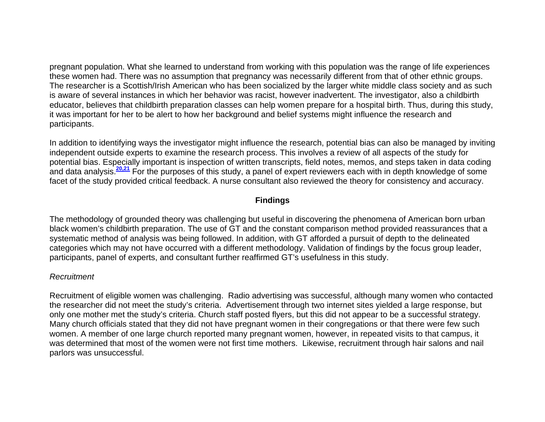pregnant population. What she learned to understand from working with this population was the range of life experiences these women had. There was no assumption that pregnancy was necessarily different from that of other ethnic groups. The researcher is a Scottish/Irish American who has been socialized by the larger white middle class society and as such is aware of several instances in which her behavior was racist, however inadvertent. The investigator, also a childbirth educator, believes that childbirth preparation classes can help women prepare for a hospital birth. Thus, during this study, it was important for her to be alert to how her background and belief systems might influence the research and participants.

In addition to identifying ways the investigator might influence the research, potential bias can also be managed by inviting independent outside experts to examine the research process. This involves a review of all aspects of the study for potential bias. Especially important is inspection of written transcripts, field notes, memos, and steps taken in data coding and data analysis.**20,21** For the purposes of this study, a panel of expert reviewers each with in depth knowledge of some facet of the study provided critical feedback. A nurse consultant also reviewed the theory for consistency and accuracy.

## **Findings**

The methodology of grounded theory was challenging but useful in discovering the phenomena of American born urban black women's childbirth preparation. The use of GT and the constant comparison method provided reassurances that a systematic method of analysis was being followed. In addition, with GT afforded a pursuit of depth to the delineated categories which may not have occurred with a different methodology. Validation of findings by the focus group leader, participants, panel of experts, and consultant further reaffirmed GT's usefulness in this study.

### *Recruitment*

Recruitment of eligible women was challenging. Radio advertising was successful, although many women who contacted the researcher did not meet the study's criteria. Advertisement through two internet sites yielded a large response, but only one mother met the study's criteria. Church staff posted flyers, but this did not appear to be a successful strategy. Many church officials stated that they did not have pregnant women in their congregations or that there were few such women. A member of one large church reported many pregnant women, however, in repeated visits to that campus, it was determined that most of the women were not first time mothers. Likewise, recruitment through hair salons and nail parlors was unsuccessful.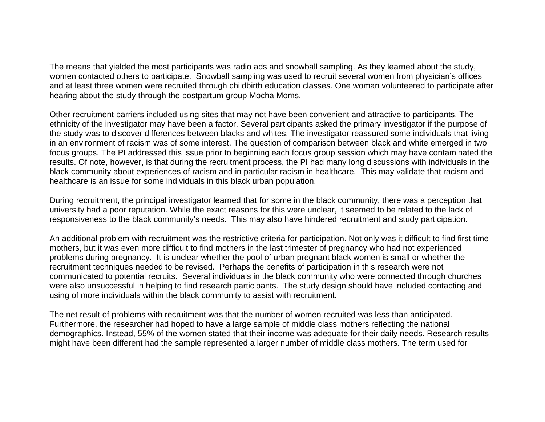The means that yielded the most participants was radio ads and snowball sampling. As they learned about the study, women contacted others to participate. Snowball sampling was used to recruit several women from physician's offices and at least three women were recruited through childbirth education classes. One woman volunteered to participate after hearing about the study through the postpartum group Mocha Moms.

Other recruitment barriers included using sites that may not have been convenient and attractive to participants. The ethnicity of the investigator may have been a factor. Several participants asked the primary investigator if the purpose of the study was to discover differences between blacks and whites. The investigator reassured some individuals that living in an environment of racism was of some interest. The question of comparison between black and white emerged in two focus groups. The PI addressed this issue prior to beginning each focus group session which may have contaminated the results. Of note, however, is that during the recruitment process, the PI had many long discussions with individuals in the black community about experiences of racism and in particular racism in healthcare. This may validate that racism and healthcare is an issue for some individuals in this black urban population.

During recruitment, the principal investigator learned that for some in the black community, there was a perception that university had a poor reputation. While the exact reasons for this were unclear, it seemed to be related to the lack of responsiveness to the black community's needs. This may also have hindered recruitment and study participation.

An additional problem with recruitment was the restrictive criteria for participation. Not only was it difficult to find first time mothers, but it was even more difficult to find mothers in the last trimester of pregnancy who had not experienced problems during pregnancy. It is unclear whether the pool of urban pregnant black women is small or whether the recruitment techniques needed to be revised. Perhaps the benefits of participation in this research were not communicated to potential recruits. Several individuals in the black community who were connected through churches were also unsuccessful in helping to find research participants. The study design should have included contacting and using of more individuals within the black community to assist with recruitment.

The net result of problems with recruitment was that the number of women recruited was less than anticipated. Furthermore, the researcher had hoped to have a large sample of middle class mothers reflecting the national demographics. Instead, 55% of the women stated that their income was adequate for their daily needs. Research results might have been different had the sample represented a larger number of middle class mothers. The term used for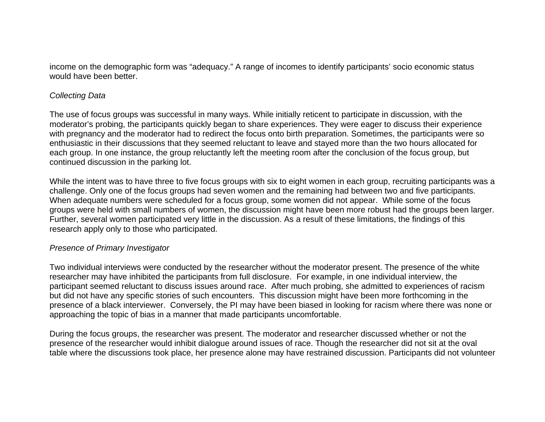income on the demographic form was "adequacy." A range of incomes to identify participants' socio economic status would have been better.

#### *Collecting Data*

The use of focus groups was successful in many ways. While initially reticent to participate in discussion, with the moderator's probing, the participants quickly began to share experiences. They were eager to discuss their experience with pregnancy and the moderator had to redirect the focus onto birth preparation. Sometimes, the participants were so enthusiastic in their discussions that they seemed reluctant to leave and stayed more than the two hours allocated for each group. In one instance, the group reluctantly left the meeting room after the conclusion of the focus group, but continued discussion in the parking lot.

While the intent was to have three to five focus groups with six to eight women in each group, recruiting participants was a challenge. Only one of the focus groups had seven women and the remaining had between two and five participants. When adequate numbers were scheduled for a focus group, some women did not appear. While some of the focus groups were held with small numbers of women, the discussion might have been more robust had the groups been larger. Further, several women participated very little in the discussion. As a result of these limitations, the findings of this research apply only to those who participated.

### *Presence of Primary Investigator*

Two individual interviews were conducted by the researcher without the moderator present. The presence of the white researcher may have inhibited the participants from full disclosure. For example, in one individual interview, the participant seemed reluctant to discuss issues around race. After much probing, she admitted to experiences of racism but did not have any specific stories of such encounters. This discussion might have been more forthcoming in the presence of a black interviewer. Conversely, the PI may have been biased in looking for racism where there was none or approaching the topic of bias in a manner that made participants uncomfortable.

During the focus groups, the researcher was present. The moderator and researcher discussed whether or not the presence of the researcher would inhibit dialogue around issues of race. Though the researcher did not sit at the oval table where the discussions took place, her presence alone may have restrained discussion. Participants did not volunteer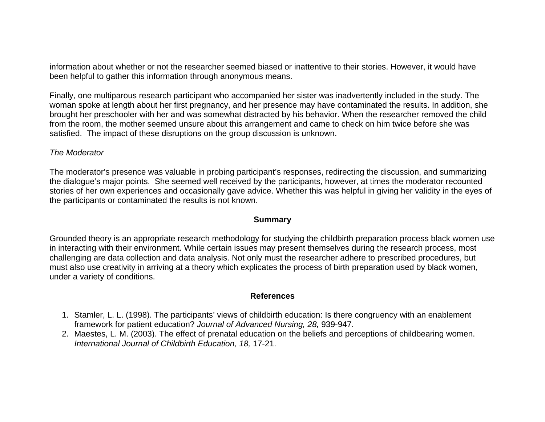information about whether or not the researcher seemed biased or inattentive to their stories. However, it would have been helpful to gather this information through anonymous means.

Finally, one multiparous research participant who accompanied her sister was inadvertently included in the study. The woman spoke at length about her first pregnancy, and her presence may have contaminated the results. In addition, she brought her preschooler with her and was somewhat distracted by his behavior. When the researcher removed the child from the room, the mother seemed unsure about this arrangement and came to check on him twice before she was satisfied. The impact of these disruptions on the group discussion is unknown.

### *The Moderator*

The moderator's presence was valuable in probing participant's responses, redirecting the discussion, and summarizing the dialogue's major points. She seemed well received by the participants, however, at times the moderator recounted stories of her own experiences and occasionally gave advice. Whether this was helpful in giving her validity in the eyes of the participants or contaminated the results is not known.

#### **Summary**

Grounded theory is an appropriate research methodology for studying the childbirth preparation process black women use in interacting with their environment. While certain issues may present themselves during the research process, most challenging are data collection and data analysis. Not only must the researcher adhere to prescribed procedures, but must also use creativity in arriving at a theory which explicates the process of birth preparation used by black women, under a variety of conditions.

#### **References**

- 1. Stamler, L. L. (1998). The participants' views of childbirth education: Is there congruency with an enablement framework for patient education? *Journal of Advanced Nursing, 28,* 939-947.
- 2. Maestes, L. M. (2003). The effect of prenatal education on the beliefs and perceptions of childbearing women. *International Journal of Childbirth Education, 18,* 17-21.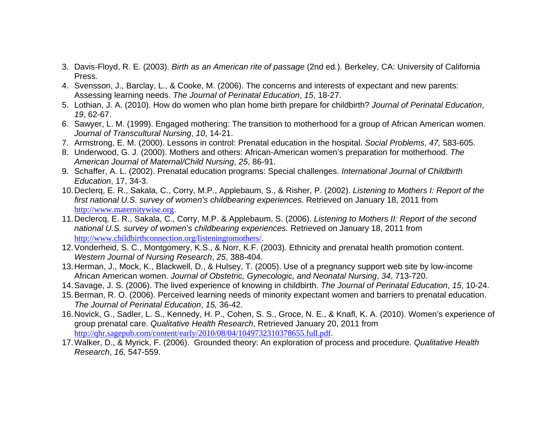- 3. Davis-Floyd, R. E. (2003). *Birth as an American rite of passage* (2nd ed*.*)*.* Berkeley, CA: University of California Press.
- 4. Svensson, J., Barclay, L., & Cooke, M. (2006). The concerns and interests of expectant and new parents: Assessing learning needs. *The Journal of Perinatal Education*, *15*, 18-27.
- 5. Lothian, J. A. (2010). How do women who plan home birth prepare for childbirth? *Journal of Perinatal Education*, *19*, 62-67.
- 6. Sawyer, L. M. (1999). Engaged mothering: The transition to motherhood for a group of African American women. *Journal of Transcultural Nursing*, *10*, 14-21.
- 7. Armstrong, E. M. (2000). Lessons in control: Prenatal education in the hospital. *Social Problems*, *47,* 583-605.
- 8. Underwood, G. J. (2000). Mothers and others: African-American women's preparation for motherhood. *The American Journal of Maternal/Child Nursing*, *25*, 86-91.
- 9. Schaffer, A. L. (2002). Prenatal education programs: Special challenges. *International Journal of Childbirth Education*, 17, 34-3.
- 10. Declerq, E. R., Sakala, C., Corry, M.P., Applebaum, S., & Risher, P. (2002). *Listening to Mothers I: Report of the first national U.S. survey of women's childbearing experiences.* Retrieved on January 18, 2011 from http://www.maternitywise.org.
- 11. Declercq, E. R., Sakala, C., Corry, M.P. & Applebaum, S. (2006). *Listening to Mothers II: Report of the second national U.S. survey of women's childbearing experiences.* Retrieved on January 18, 2011 from http://www.childbirthconnection.org/listeningtomothers/.
- 12. Vonderheid, S. C., Montgomery, K.S., & Norr, K.F. (2003). Ethnicity and prenatal health promotion content. *Western Journal of Nursing Research*, *25*, 388-404.
- 13. Herman, J., Mock, K., Blackwell, D., & Hulsey, T. (2005). Use of a pregnancy support web site by low-income African American women. *Journal of Obstetric, Gynecologic, and Neonatal Nursing*, *34*, 713-720.
- 14. Savage, J. S. (2006). The lived experience of knowing in childbirth. *The Journal of Perinatal Education*, *15*, 10-24.
- 15. Berman, R. O. (2006). Perceived learning needs of minority expectant women and barriers to prenatal education. *The Journal of Perinatal Education*, *15,* 36-42.
- 16. Novick, G., Sadler, L. S., Kennedy, H. P., Cohen, S. S., Groce, N. E., & Knafl, K. A. (2010). Women's experience of group prenatal care. *Qualitative Health Research*, Retrieved January 20, 2011 from http://qhr.sagepub.com/content/early/2010/08/04/1049732310378655.full.pdf.
- 17. Walker, D., & Myrick, F. (2006). Grounded theory: An exploration of process and procedure. *Qualitative Health Research*, *16,* 547-559.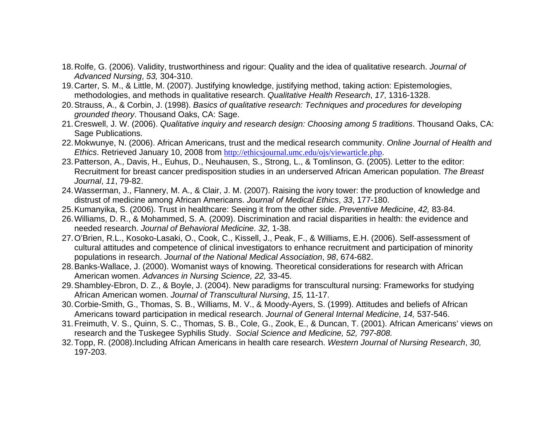- 18. Rolfe, G. (2006). Validity, trustworthiness and rigour: Quality and the idea of qualitative research. *Journal of Advanced Nursing*, *53,* 304-310.
- 19. Carter, S. M., & Little, M. (2007). Justifying knowledge, justifying method, taking action: Epistemologies, methodologies, and methods in qualitative research. *Qualitative Health Research*, *17*, 1316-1328.
- 20. Strauss, A., & Corbin, J. (1998). *Basics of qualitative research: Techniques and procedures for developing grounded theory*. Thousand Oaks, CA: Sage.
- 21. Creswell, J. W. (2006). *Qualitative inquiry and research design: Choosing among 5 traditions*. Thousand Oaks, CA: Sage Publications.
- 22. Mokwunye, N. (2006). African Americans, trust and the medical research community. *Online Journal of Health and Ethics*. Retrieved January 10, 2008 from http://ethicsjournal.umc.edu/ojs/viewarticle.php.
- 23. Patterson, A., Davis, H., Euhus, D., Neuhausen, S., Strong, L., & Tomlinson, G. (2005). Letter to the editor: Recruitment for breast cancer predisposition studies in an underserved African American population. *The Breast Journal*, *11*, 79-82.
- 24. Wasserman, J., Flannery, M. A., & Clair, J. M. (2007). Raising the ivory tower: the production of knowledge and distrust of medicine among African Americans. *Journal of Medical Ethics*, *33*, 177-180.
- 25. Kumanyika, S. (2006). Trust in healthcare: Seeing it from the other side. *Preventive Medicine*, *42,* 83-84.
- 26. Williams, D. R., & Mohammed, S. A. (2009). Discrimination and racial disparities in health: the evidence and needed research. *Journal of Behavioral Medicine*. *32,* 1-38.
- 27. O'Brien, R.L., Kosoko-Lasaki, O., Cook, C., Kissell, J., Peak, F., & Williams, E.H. (2006). Self-assessment of cultural attitudes and competence of clinical investigators to enhance recruitment and participation of minority populations in research. *Journal of the National Medical Association*, *98*, 674-682.
- 28. Banks-Wallace, J. (2000). Womanist ways of knowing. Theoretical considerations for research with African American women. *Advances in Nursing Science, 22,* 33-45.
- 29. Shambley-Ebron, D. Z., & Boyle, J. (2004). New paradigms for transcultural nursing: Frameworks for studying African American women. *Journal of Transcultural Nursing*, *15,* 11-17.
- 30. Corbie-Smith, G., Thomas, S. B., Williams, M. V., & Moody-Ayers, S. (1999). Attitudes and beliefs of African Americans toward participation in medical research. *Journal of General Internal Medicine*, *14,* 537-546.
- 31. Freimuth, V. S., Quinn, S. C., Thomas, S. B., Cole, G., Zook, E., & Duncan, T. (2001). African Americans' views on research and the Tuskegee Syphilis Study. *Social Science and Medicine, 52, 797-808.*
- 32. Topp, R. (2008).Including African Americans in health care research. *Western Journal of Nursing Research*, *30,* 197-203.